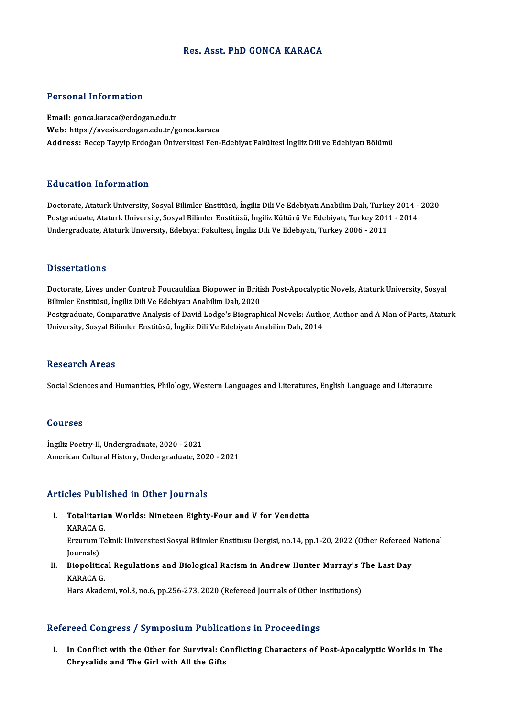## Res. Asst. PhD GONCA KARACA

#### Personal Information

Email: gonca.karaca@erdogan.edu.tr Web: https://avesis.erdogan.edu.tr/gonca.karaca Address: Recep Tayyip Erdoğan Üniversitesi Fen-Edebiyat Fakültesi İngiliz Dili ve Edebiyatı Bölümü

### Education Information

Doctorate, Ataturk University, Sosyal Bilimler Enstitüsü, İngiliz Dili Ve Edebiyatı Anabilim Dalı, Turkey 2014 - 2020 Pu u susesi Timominusion<br>Doctorate, Ataturk University, Sosyal Bilimler Enstitüsü, İngiliz Dili Ve Edebiyatı Anabilim Dalı, Turkey 2014<br>Postgraduate, Ataturk University, Sosyal Bilimler Enstitüsü, İngiliz Kültürü Ve Edebiy Doctorate, Ataturk University, Sosyal Bilimler Enstitüsü, İngiliz Dili Ve Edebiyatı Anabilim Dalı, Turke<br>Postgraduate, Ataturk University, Sosyal Bilimler Enstitüsü, İngiliz Kültürü Ve Edebiyatı, Turkey 2011<br>Undergraduate, Undergraduate, Ataturk University, Edebiyat Fakültesi, İngiliz Dili Ve Edebiyatı, Turkey 2006 - 2011<br>Dissertations

Doctorate, Lives under Control: Foucauldian Biopower in British Post-Apocalyptic Novels, Ataturk University, Sosyal Bilimler Enstitüsü, İngiliz Dili Ve Edebiyatı Anabilim Dalı, 2020 Doctorate, Lives under Control: Foucauldian Biopower in British Post-Apocalyptic Novels, Ataturk University, Sosyal<br>Bilimler Enstitüsü, İngiliz Dili Ve Edebiyatı Anabilim Dalı, 2020<br>Postgraduate, Comparative Analysis of Da Bilimler Enstitüsü, İngiliz Dili Ve Edebiyatı Anabilim Dalı, 2020<br>Postgraduate, Comparative Analysis of David Lodge's Biographical Novels: Autho<br>University, Sosyal Bilimler Enstitüsü, İngiliz Dili Ve Edebiyatı Anabilim Dal University, Sosyal Bilimler Enstitüsü, İngiliz Dili Ve Edebiyatı Anabilim Dalı, 2014<br>Research Areas

Social Sciences and Humanities, Philology, Western Languages and Literatures, English Language and Literature

#### Courses

İngiliz Poetry-II, Undergraduate, 2020 - 2021 American Cultural History, Undergraduate, 2020 - 2021

## Articles Published in Other Journals

rticles Published in Other Journals<br>I. Totalitarian Worlds: Nineteen Eighty-Four and V for Vendetta<br>KARACA.C Totalitaria<br>Totalitaria<br>KARACA G.

Totalitarian Worlds: Nineteen Eighty-Four and V for Vendetta<br>KARACA G.<br>Erzurum Teknik Universitesi Sosyal Bilimler Enstitusu Dergisi, no.14, pp.1-20, 2022 (Other Refereed National<br>Journals) KARACA<br>Erzurum<br>Journals)<br>Pieneliti Erzurum Teknik Universitesi Sosyal Bilimler Enstitusu Dergisi, no.14, pp.1-20, 2022 (Other Refereed ]<br>Journals)<br>II. Biopolitical Regulations and Biological Racism in Andrew Hunter Murray's The Last Day<br>KARACA C

Journals)<br><mark>Biopolitica</mark><br>KARACA G.<br>Hars Akade KARACA G.<br>Hars Akademi, vol.3, no.6, pp.256-273, 2020 (Refereed Journals of Other Institutions)

#### Refereed Congress / Symposium Publications in Proceedings

I. In Conflictwith the Other for Survival: Conflicting Characters of Post-ApocalypticWorlds in The Chrysalids and The Girl with All the Gifts